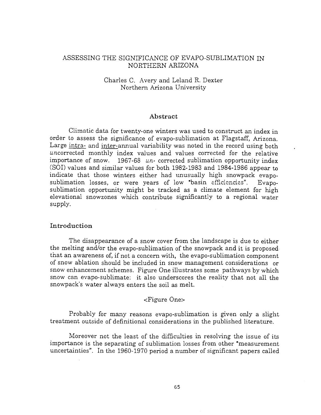# ASSESSING THE SIGNIFICANCE OF EVAPO- SUBLIMATION IN NORTHERN ARIZONA

# Charles C. Avery and Leland R. Dexter Northern Arizona University

### Abstract

Climatic data for twenty -one winters was used to construct an index in order to assess the significance of evapo -sublimation at Flagstaff, Arizona. Large intra- and inter-annual variability was noted in the record using both uncorrected monthly index values and values corrected for the relative importance of snow.  $1967-68$  un-corrected sublimation opportunity index (SOI) values and similar values for both 1982 -1983 and 1984 -1986 appear to indicate that those winters either had unusually high snowpack evapo-<br>sublimation losses, or were years of low "basin efficiencies". Evaposublimation opportunity might be tracked as a climate element for high elevational snowzones which contribute significantly to a regional water supply.

### Introduction

The disappearance of a snow cover from the landscape is due to either the melting and/or the evapo-sublimation of the snowpack and it is proposed that an awareness of, if not a concern with, the evapo - sublimation component of snow ablation should be included in snow management considerations or snow enhancement schemes. Figure One illustrates some pathways by which snow can evapo -sublimate: it also underscores the reality that not all the snowpack's water always enters the soil as melt.

#### <Figure One>

Probably for many reasons evapo-sublimation is given only a slight treatment outside of definitional considerations in the published literature.

Moreover not the least of the difficulties in resolving the issue of its importance is the separating of sublimation losses from other "measurement uncertainties". In the 1960-1970 period a number of significant papers called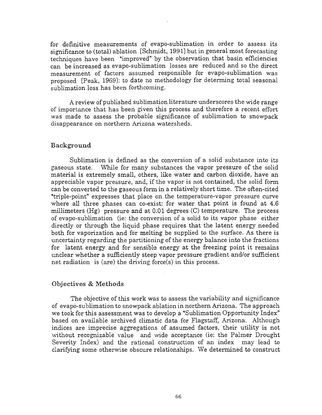for definitive measurements of evapo-sublimation in order to assess its significance to (total) ablation [Schmidt, 1991] but in general most forecasting techniques have been "improved" by the observation that basin efficiencies can be increased as evapo-sublimation losses are reduced and so the direct measurement of factors assumed responsible for evapo-sublimation was proposed [Peak, 1969]: to date no methodology for determing total seasonal sublimation loss has been forthcoming.

A review of published sublimation literature underscores the wide range of importance that has been given this process and therefore a recent effort was made to assess the probable significance of sublimation to snowpack disappearance on northern Arizona watersheds.

### Background

Sublimation is defined as the conversion of a solid substance into its gaseous state. While for many substances the vapor pressure of the solid material is extremely small, others, like water and carbon dioxide, have an appreciable vapor pressure, and, if the vapor is not contained, the solid form can be converted to the gaseous form in a relatively short time. The often-cited "triple-point" expresses that place on the temperature-vapor pressure curve where all three phases can co-exist: for water that point is found at 4.6 millimeters (Hg) pressure and at 0.01 degrees (C) temperature. The process of evapo- sublimation (ie: the conversion of a solid to its vapor phase either directly or through the liquid phase requires that the latent energy needed both for vaporization and for melting be supplied to the surface. As there is uncertainty regarding the partitioning of the energy balance into the fractions for latent energy and for sensible energy at the freezing point it remains unclear whether a sufficiently steep vapor pressure gradient and/or sufficient net radiation is (are) the driving force(s) in this process.

# Objectives & Methods

The objective of this work was to assess the variability and significance of evapo- sublimation to snowpack ablation in northern Arizona. The approach we took for this assessment was to develop a "Sublimation Opportunity Index" based on available archived climatic data for Flagstaff, Arizona. Although indices are imprecise aggregations of assumed factors, their utility is not without recognizable value and wide acceptance (ie: the Palmer Drought Severity Index) and the rational construction of an index may lead to clarifying some otherwise obscure relationships. We determined to construct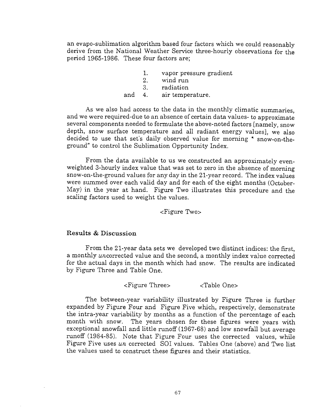an evapo-sublimation algorithm based four factors which we could reasonably derive from the National Weather Service three -hourly observations for the period 1965 -1986. These four factors are;

|        |     | vapor pressure gradient |  |
|--------|-----|-------------------------|--|
|        | 2.  | wind run                |  |
|        | -3. | radiation               |  |
| and 4. |     | air temperature.        |  |

As we also had access to the data in the monthly climatic summaries, and we were required -due to an absence of certain data values- to approximate several components needed to formulate the above -noted factors [namely, snow depth, snow surface temperature and all radiant energy values], we also decided to use that set's daily observed value for morning " snow-on-theground" to control the Sublimation Opportunity Index.

From the data available to us we constructed an approximately evenweighted 3-hourly index value that was set to zero in the absence of morning snow -on- the -ground values for any day in the 21 -year record. The index values were summed over each valid day and for each of the eight months (October- May) in the year at hand. Figure Two illustrates this procedure and the scaling factors used to weight the values.

<Figure Two>

# Results & Discussion

From the 21 -year data sets we developed two distinct indices: the first, a monthly uncorrected value and the second, a monthly index value corrected for the actual days in the month which had snow. The results are indicated by Figure Three and Table One.

<Figure Three> <Table One>

The between -year variability illustrated by Figure Three is further expanded by Figure Four and Figure Five which, respectively, demonstrate the intra -year variability by months as a function of the percentage of each month with snow. The years chosen for these figures were years with exceptional snowfall and little runoff (1967 -68) and low snowfall but average runoff (1984-85). Note that Figure Four uses the corrected values, while Figure Five uses un corrected SOI values. Tables One (above) and Two list the values used to construct these figures and their statistics.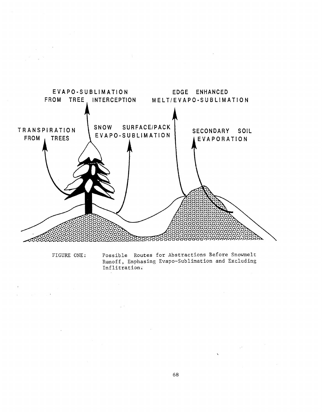

FIGURE ONE:

Possible Routes for Abstractions Before Snowmelt Runoff, Emphasing Evapo-Sublimation and Excluding Inflitrations

 $\frac{1}{2} \frac{1}{2} \frac{1}{2} \frac{1}{2} \frac{1}{2} \frac{1}{2} \frac{1}{2} \frac{1}{2}$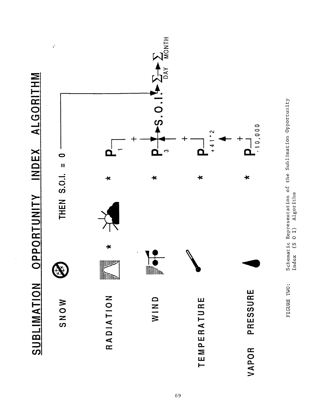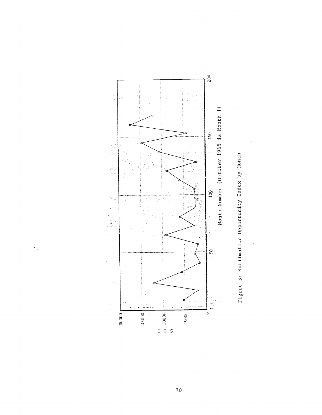

 $\epsilon$  .



 $\bar{z}$ 

 $\epsilon$ 

 $70$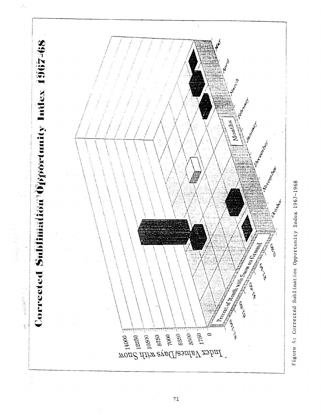

Figure 4: Corrected Sublimation Opportunity Index 1967-1968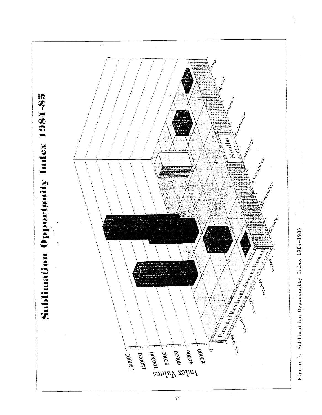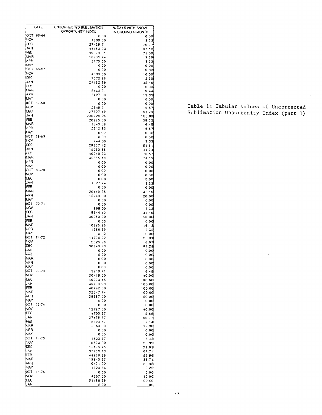|                   | DATE       | UNCORRECTED SUBLIMATION. | % DAYS WITH SNOW           |
|-------------------|------------|--------------------------|----------------------------|
|                   | IOCT 65-66 | OPPORTUNITY INDEX<br>000 | ON GROUND IN MONTH<br>o oo |
| INOV.             |            | 1898 00                  | 333                        |
| CEC               |            | 27428.71                 | 70.97                      |
| <b>JAN</b>        |            | 43163.23                 | 87.10                      |
| IFEB              |            | 39828.21                 | 75.00                      |
| <b>MAR</b><br>APR |            | 1098194                  | 19.35                      |
| <b>IMAY</b>       |            | 2170 00<br>000           | 3.33<br>0.00               |
|                   | IOCT 66-67 | 0.00                     | 000                        |
| <b>NOV</b>        |            | 4590 00                  | 10.00                      |
| DEC               |            | 7072 26                  | 12.90                      |
| <b>JAN</b>        |            | 24162.58                 | 45.16                      |
| FEB               |            | 000                      | 000                        |
| MAR               |            | 5143.27                  | 9.44                       |
| APR               |            | 5497 00                  | 13.33                      |
| MAY               | OCT 67-6B  | 000                      | 0.00                       |
| <b>NOV</b>        |            | 0.00<br>264B 31          | 000                        |
| DEC               |            | 27807.49                 | 667<br>6129                |
| <b>JAN</b>        |            | 238723.26                | 100.00                     |
| FEB               |            | 20295.00                 | 58.62                      |
| ima R             |            | 1343 09                  | 6.45                       |
| APR               |            | 231293                   | 6.67                       |
| <b>MAY</b>        |            | 000                      | 0.00                       |
| loCT.             | 68-69      | 000                      | 000                        |
| NOV<br>DEC        |            | 444 00                   | 3.33                       |
| JAN               |            | 2930742                  | 51.61                      |
| FEB               |            | 19060.65<br>4004B 93     | 41.94                      |
| IMAR              |            | 45655.16                 | 78.57<br>74.19             |
| IAPR              |            | 0.00                     | 0.00                       |
| MAY               |            | 000                      | 0.00                       |
|                   | OCT 69-70  | 000                      | 0.00                       |
| INOV              |            | 0.00                     | 0.00                       |
| DEC               |            | 000                      | 0.00                       |
| <b>JAN</b>        |            | 1327.74                  | 3.23                       |
| FEB               |            | 000                      | 0.00                       |
| MAR<br>APR        |            | 20119.35                 | 45 16                      |
| IMAY.             |            | 12748.00                 | 20.00                      |
| OCT.              | $70 - 71$  | 0.00<br>0.00             | 0.00<br>0.00               |
| NOV               |            | 998 00                   | 3.33                       |
| DEC               |            | 18244 12                 | 45.16                      |
| JAN               |            | 30860.80                 | 58.06                      |
| FEB               |            | 0.00                     | 000                        |
| MAR               |            | 10825.95                 | 16.13                      |
| APR               |            | 1356.69                  | 3.33                       |
| IMA Y             | OCT 71-72  | 0.00                     | 0.00                       |
| <b>NOV</b>        |            | 11739.92<br>2526.96      | 25.81                      |
| œc                |            | 30340.83                 | 6.67<br>61.29              |
| JAN               |            | 0.00                     | 0.00                       |
| ਸ਼ਿਛ              |            | 0.00                     | 0.00                       |
| MAR               |            | 0.00                     | 0.00                       |
| APR               |            | 0.00                     | 0.00                       |
| MAY               |            | 000                      | 0.00                       |
|                   | OCT 72-73  | 3218.71                  | 6 45                       |
| <b>NOV</b><br>DEC |            | 20418.00                 | 40.00                      |
| JAN               |            | 49224 45<br>49733 23     | <b>BO.60</b><br>100.00     |
| FEB               |            | 40492.50                 | 100.00                     |
| MAR               |            | 32347.74                 | 100.00                     |
| APR               |            | 28687.00                 | 50.00                      |
| MAY               |            | 0.00                     | 0.00                       |
| IOCT.             | $73 - 74$  | 0.00                     | 0.00                       |
| <b>NOV</b>        |            | 12797.00                 | 40.00                      |
| DEC               |            | 4700.32                  | 9.68                       |
| JAN<br>FEB        |            | 37476.77                 | 96.77                      |
| MAR               |            | 3893.57                  | 7.14                       |
| APR               |            | 5063.23<br>0.00          | 12.90                      |
| MAY               |            | 000                      | 0.00<br>0.00               |
| ¦0C⊤              | $74 - 75$  | 1533.87                  | 645                        |
| INOV              |            | 8674 00                  | 23.33                      |
| DEC               |            | 15196 45                 | 29.03                      |
| JAN               |            | 37766.13                 | 67.74                      |
| FEB               |            | 49969.29                 | 92.86                      |
| MAR               |            | 1994032                  | 38.71                      |
| IAPR              |            | 10401.00                 | 23.33                      |
| MAY               |            | 1324.84                  | 3.23                       |
| 10CT              | 75-76      | 0.00                     | 0.00                       |
| INOV.<br>DEC      |            | 4657.00                  | 10.00                      |
| JAN               |            | 51186.29<br>000          | 100.00<br>000              |
|                   |            |                          |                            |

Table 1; Tabular Values of Uncorrected Sublimation Opportunity Index (part 1)

 $\sim$ 

 $\Delta \sim 1$ 

 $\label{eq:2.1} \frac{1}{\sqrt{2}}\int_{\mathbb{R}^3} \left|\frac{d\mu}{d\mu}\right|^2 \left|\frac{d\mu}{d\mu}\right|^2 \left|\frac{d\mu}{d\mu}\right|^2 \left|\frac{d\mu}{d\mu}\right|^2 \left|\frac{d\mu}{d\mu}\right|^2 \left|\frac{d\mu}{d\mu}\right|^2 \left|\frac{d\mu}{d\mu}\right|^2 \left|\frac{d\mu}{d\mu}\right|^2 \left|\frac{d\mu}{d\mu}\right|^2 \left|\frac{d\mu}{d\mu}\right|^2 \left|\frac{d\mu}{d\mu}\right|^2 \left|\frac{d\mu}{d\mu}\$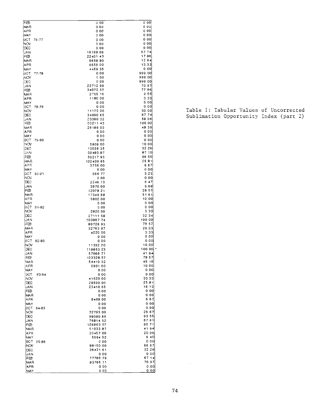| टउने        |              | 0.00      | 0 OO!             |  |
|-------------|--------------|-----------|-------------------|--|
| IMA A       |              | 0.00      | 0 O.              |  |
| APR)        |              | 000       | 0 001             |  |
| iMAY        |              | 000       | 000               |  |
|             |              |           |                   |  |
| IOCT.       | 76-77        | 0.00      | 0.00              |  |
| INOV        |              | 0.00      | 000               |  |
| IDEC        |              | 0.00      | 000               |  |
| IJAN        |              | 16198.06  | 67.74             |  |
|             |              |           | 17.86             |  |
| FEB         |              | 22401.43  |                   |  |
| MAR         |              | 9658 80   | 12.94             |  |
| <b>APR</b>  |              | 6656 00   | 13.33             |  |
| MAY         |              | 4459.35   | 000               |  |
|             |              | 000       | 999.00            |  |
| 10CT        | $77 - 70$    |           |                   |  |
| įNOV        |              | 000       | 999 00            |  |
| (DEC        |              | 0 0 0     | 999 00            |  |
| ¦JAN        |              | 22712.90  | 70.97             |  |
| FEB         |              | 34072.50  | 7786              |  |
|             |              | 2755 16   | 9.55              |  |
| <b>IMAR</b> |              |           |                   |  |
| APR         |              | 1180.00   | 3.33              |  |
| <b>IMAY</b> |              | 0.00      | 0.00              |  |
| 10CT        | 78-79        | 0.00      | 0.00              |  |
| <b>INOV</b> |              | 11173.00  | 30 00             |  |
|             |              | 34000.65  | 67 74             |  |
| DEC         |              |           |                   |  |
| <b>JAN</b>  |              | 23360.32  | 59.06             |  |
| FŒ          |              | 5021143   | 100 00            |  |
| MAR         |              | 26199.03  | 48.39             |  |
| <b>APR</b>  |              | 0.00      | 0.00              |  |
|             |              |           |                   |  |
| IMAY        |              | 000       | 0.00              |  |
| ¦0C⊤        | 79-80        | 000       | 0.00              |  |
| INOV.       |              | 5909 00   | 10.00             |  |
| IDEC        |              | 13039 35  | 32 26             |  |
| IJAN        |              | 39483.87  | 87.10             |  |
|             |              |           | 96 55             |  |
| FEB         |              | 5021793   |                   |  |
| MAR         |              | 102400.65 | 25.81             |  |
| iAPR        |              | 3759.00   | 667               |  |
| <b>MAY</b>  |              | 0.00      | 0.00              |  |
| OCT.        | 60-81        | 966.77    | 3.23              |  |
| INOV        |              | 0.00      | 0.00              |  |
|             |              |           |                   |  |
| DEC         |              | 2246.13   | 6 47              |  |
| <b>JAN</b>  |              | 3970.00   | 9.60              |  |
| FEB         |              | 12078.21  | 20.57             |  |
| IMAR        |              | 17349.68  | 51.61             |  |
| IA PR       |              | 5902.00   | 10.00             |  |
| MAY         |              |           | 0.00              |  |
|             |              | 0.00      |                   |  |
| OCT         | 81-82        | 0.00      | 000               |  |
| INOV        |              | 2020.00   | 333               |  |
| DEC         |              | 27111.58  | 32.34             |  |
| UAN         |              | 103867.74 | 100.00            |  |
| FŒ          |              | 80728.93  | 78.57             |  |
|             |              |           |                   |  |
| IMA A       |              | 32763.87  | 29.03             |  |
| APR         |              | 4220.00   | 3.33              |  |
| MAY         |              | 0.00      | 0.00              |  |
| .cCT        | 82-83        | 0.00      | 0.00              |  |
| INOV        |              | 11332.00  | 10.00             |  |
|             |              |           |                   |  |
| lc€c        |              | 118853.23 | $100.001$ $\cdot$ |  |
| IJAN        |              | 57669.71  | 41.94             |  |
| FEB         |              | 103328.57 | 79.57             |  |
| !MAR        |              | 5441032   | 45.16             |  |
| APR         |              | 6901.00   | 10 00             |  |
| MAY         |              | 0.00      | 0.00              |  |
|             |              |           |                   |  |
| ост         | <b>B3-84</b> | 000       | 0.00              |  |
| NOV         |              | 41620.00  | 33.33             |  |
| DEC         |              | 20530.00  | 25.91             |  |
| <b>JAN</b>  |              | 23410.65  | 16.13             |  |
| FEB         |              | 0.00      | 0.00              |  |
|             |              | 0.00      | 0.00              |  |
| MAR         |              |           |                   |  |
| APR         |              | 8469.00   | 6.67              |  |
| MAY         |              | 0.00      | 0.00              |  |
| 0CT.        | 84 85        | 0.00      | 0.00              |  |
| <b>NOV</b>  |              | 32793.00  | 26.67             |  |
| IDEC        |              | 98080.65  | 93.55             |  |
|             |              |           |                   |  |
| JAN         |              | 76814.52  | 67.61             |  |
| FEB         |              | 126063.57 | 85 71             |  |
| MAR         |              | 51033.87  | 4194              |  |
| APR         |              | 20457.00  | 20.00             |  |
| MAY         |              | 5594.52   | 645               |  |
|             |              |           | 000               |  |
| 0C.T        | 85-86        | 0.00      |                   |  |
| NOV         |              | 88150.00  | 66.67             |  |
| DEC         |              | 36431.61  | 32.26             |  |
| JAN         |              | 0.00      | 0.00              |  |
| FEB         |              | 77786.79  | 67.14             |  |
| MAR         |              | 83766.11  | 70 97             |  |
|             |              |           |                   |  |
| APR         |              | 0.00      | 0.00              |  |
| MAY         |              | 000       | 0.00              |  |

Table 1: Tabular Values of Uncorrected Sublimation Opportunity Index (part 2)

 $\sim 10^{11}$  km s  $^{-1}$ 

 $\sim 10^{-11}$